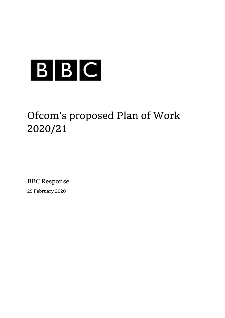

# Ofcom's proposed Plan of Work 2020/21

BBC Response 25 February 2020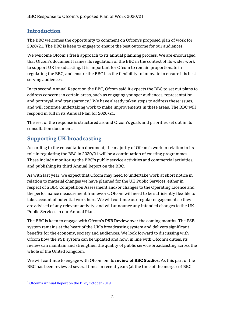### **Introduction**

The BBC welcomes the opportunity to comment on Ofcom's proposed plan of work for 2020/21. The BBC is keen to engage to ensure the best outcome for our audiences.

We welcome Ofcom's fresh approach to its annual planning process. We are encouraged that Ofcom's document frames its regulation of the BBC in the context of its wider work to support UK broadcasting. It is important for Ofcom to remain proportionate in regulating the BBC, and ensure the BBC has the flexibility to innovate to ensure it is best serving audiences.

In its second Annual Report on the BBC, Ofcom said it expects the BBC to set out plans to address concerns in certain areas, such as engaging younger audiences, representation and portrayal, and transparency.<sup>1</sup> We have already taken steps to address these issues, and will continue undertaking work to make improvements in these areas. The BBC will respond in full in its Annual Plan for 2020/21.

The rest of the response is structured around Ofcom's goals and priorities set out in its consultation document.

## **Supporting UK broadcasting**

According to the consultation document, the majority of Ofcom's work in relation to its role in regulating the BBC in 2020/21 will be a continuation of existing programmes. These include monitoring the BBC's public service activities and commercial activities, and publishing its third Annual Report on the BBC.

As with last year, we expect that Ofcom may need to undertake work at short notice in relation to material changes we have planned for the UK Public Services, either in respect of a BBC Competition Assessment and/or changes to the Operating Licence and the performance measurement framework. Ofcom will need to be sufficiently flexible to take account of potential work here. We will continue our regular engagement so they are advised of any relevant activity, and will announce any intended changes to the UK Public Services in our Annual Plan.

The BBC is keen to engage with Ofcom's **PSB Review** over the coming months. The PSB system remains at the heart of the UK's broadcasting system and delivers significant benefits for the economy, society and audiences. We look forward to discussing with Ofcom how the PSB system can be updated and how, in line with Ofcom's duties, its review can maintain and strengthen the quality of public service broadcasting across the whole of the United Kingdom.

We will continue to engage with Ofcom on its **review of BBC Studios**. As this part of the BBC has been reviewed several times in recent years (at the time of the merger of BBC

1

<sup>1</sup> [Ofcom's Annual Report on the BBC, October 2019.](https://www.ofcom.org.uk/__data/assets/pdf_file/0026/173735/second-bbc-annual-report.pdf)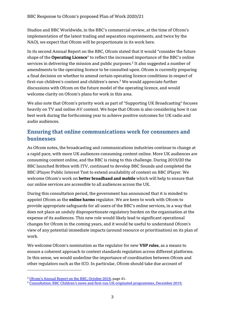Studios and BBC Worldwide, in the BBC's commercial review, at the time of Ofcom's implementation of the latest trading and separation requirements, and twice by the NAO), we expect that Ofcom will be proportionate in its work here.

In its second Annual Report on the BBC, Ofcom stated that it would "consider the future shape of the **Operating Licence**" to reflect the increased importance of the BBC's online services in delivering the mission and public purposes.<sup>2</sup> It also suggested a number of amendments to the operating licence to be consulted upon. Ofcom is currently preparing a final decision on whether to amend certain operating licence conditions in respect of first-run children's content and children's news.<sup>3</sup> We would appreciate further discussions with Ofcom on the future model of the operating licence, and would welcome clarity on Ofcom's plans for work in this area.

We also note that Ofcom's priority work as part of "Supporting UK Broadcasting" focuses heavily on TV and online AV content. We hope that Ofcom is also considering how it can best work during the forthcoming year to achieve positive outcomes for UK radio and audio audiences.

#### **Ensuring that online communications work for consumers and businesses**

As Ofcom notes, the broadcasting and communications industries continue to change at a rapid pace, with more UK audiences consuming content online. More UK audiences are consuming content online, and the BBC is rising to this challenge. During 2019/20 the BBC launched Britbox with ITV, continued to develop BBC Sounds and completed the BBC iPlayer Public Interest Test to extend availability of content on BBC iPlayer. We welcome Ofcom's work on **better broadband and mobile** which will help to ensure that our online services are accessible to all audiences across the UK.

During this consultation period, the government has announced that it is minded to appoint Ofcom as the **online harms** regulator. We are keen to work with Ofcom to provide appropriate safeguards for all users of the BBC's online services, in a way that does not place an unduly disproportionate regulatory burden on the organisation at the expense of its audiences. This new role would likely lead to significant operational changes for Ofcom in the coming years, and it would be useful to understand Ofcom's view of any potential immediate impacts (around resource or prioritisation) on its plan of work.

We welcome Ofcom's nomination as the regulator for new **VSP rules**, as a means to ensure a coherent approach to content standards regulation across different platforms. In this sense, we would underline the importance of coordination between Ofcom and other regulators such as the ICO. In particular, Ofcom should take due account of

<u>.</u>

<sup>2</sup> [Ofcom's Annual Report on the BBC, October 2019](https://www.ofcom.org.uk/__data/assets/pdf_file/0026/173735/second-bbc-annual-report.pdf), page 41.

<sup>3</sup> Consultation: BBC Children's news and first[-run UK originated programmes, December 2019.](https://www.ofcom.org.uk/consultations-and-statements/category-3/bbc-childrens-change-operating-licence)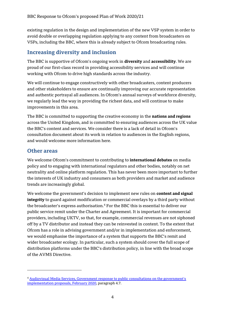existing regulation in the design and implementation of the new VSP system in order to avoid double or overlapping regulation applying to any content from broadcasters on VSPs, including the BBC, where this is already subject to Ofcom broadcasting rules.

#### **Increasing diversity and inclusion**

The BBC is supportive of Ofcom's ongoing work in **diversity** and **accessibility**. We are proud of our first-class record in providing accessibility services and will continue working with Ofcom to drive high standards across the industry.

We will continue to engage constructively with other broadcasters, content producers and other stakeholders to ensure are continually improving our accurate representation and authentic portrayal all audiences. In Ofcom's annual surveys of workforce diversity, we regularly lead the way in providing the richest data, and will continue to make improvements in this area.

The BBC is committed to supporting the creative economy in the **nations and regions** across the United Kingdom, and is committed to ensuring audiences across the UK value the BBC's content and services. We consider there is a lack of detail in Ofcom's consultation document about its work in relation to audiences in the English regions, and would welcome more information here.

#### **Other areas**

<u>.</u>

We welcome Ofcom's commitment to contributing to **international debates** on media policy and to engaging with international regulators and other bodies, notably on net neutrality and online platform regulation. This has never been more important to further the interests of UK industry and consumers as both providers and market and audience trends are increasingly global.

We welcome the government's decision to implement new rules on **content and signal integrity** to guard against modification or commercial overlays by a third party without the broadcaster's express authorisation.<sup>4</sup> For the BBC this is essential to deliver our public service remit under the Charter and Agreement. It is important for commercial providers, including UKTV, so that, for example, commercial revenues are not siphoned off by a TV distributor and instead they can be reinvested in content. To the extent that Ofcom has a role in advising government and/or in implementation and enforcement, we would emphasise the importance of a system that supports the BBC's remit and wider broadcaster ecology. In particular, such a system should cover the full scope of distribution platforms under the BBC's distribution policy, in line with the broad scope of the AVMS Directive.

<sup>4</sup> [Audiovisual Media Services, Government response to public consultations on the government's](https://www.gov.uk/government/consultations/audiovisual-media-services/outcome/audiovisual-media-services-government-response-to-public-consultations-on-the-governments-implementation-proposals)  [implementation proposals, February 2020,](https://www.gov.uk/government/consultations/audiovisual-media-services/outcome/audiovisual-media-services-government-response-to-public-consultations-on-the-governments-implementation-proposals) paragraph 4.7.